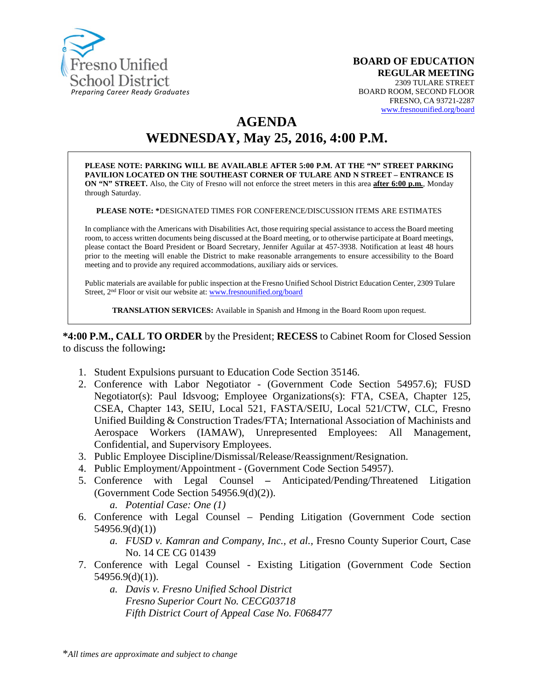

**BOARD OF EDUCATION REGULAR MEETING** 2309 TULARE STREET BOARD ROOM, SECOND FLOOR FRESNO, CA 93721-2287 [www.fresnounified.org/board](http://www.fresnounified.org/board)

# **AGENDA**

# **WEDNESDAY, May 25, 2016, 4:00 P.M.**

**PLEASE NOTE: PARKING WILL BE AVAILABLE AFTER 5:00 P.M. AT THE "N" STREET PARKING PAVILION LOCATED ON THE SOUTHEAST CORNER OF TULARE AND N STREET – ENTRANCE IS ON "N" STREET.** Also, the City of Fresno will not enforce the street meters in this area **after 6:00 p.m.**, Monday through Saturday.

**PLEASE NOTE: \***DESIGNATED TIMES FOR CONFERENCE/DISCUSSION ITEMS ARE ESTIMATES

In compliance with the Americans with Disabilities Act, those requiring special assistance to access the Board meeting room, to access written documents being discussed at the Board meeting, or to otherwise participate at Board meetings, please contact the Board President or Board Secretary, Jennifer Aguilar at 457-3938. Notification at least 48 hours prior to the meeting will enable the District to make reasonable arrangements to ensure accessibility to the Board meeting and to provide any required accommodations, auxiliary aids or services.

Public materials are available for public inspection at the Fresno Unified School District Education Center, 2309 Tulare Street, 2<sup>nd</sup> Floor or visit our website at: [www.fresnounified.org/board](http://www.fresnounified.org/board)

**TRANSLATION SERVICES:** Available in Spanish and Hmong in the Board Room upon request.

**\*4:00 P.M., CALL TO ORDER** by the President; **RECESS** to Cabinet Room for Closed Session to discuss the following**:**

- 1. Student Expulsions pursuant to Education Code Section 35146.
- 2. Conference with Labor Negotiator (Government Code Section 54957.6); FUSD Negotiator(s): Paul Idsvoog; Employee Organizations(s): FTA, CSEA, Chapter 125, CSEA, Chapter 143, SEIU, Local 521, FASTA/SEIU, Local 521/CTW, CLC, Fresno Unified Building & Construction Trades/FTA; International Association of Machinists and Aerospace Workers (IAMAW), Unrepresented Employees: All Management, Confidential, and Supervisory Employees.
- 3. Public Employee Discipline/Dismissal/Release/Reassignment/Resignation.
- 4. Public Employment/Appointment (Government Code Section 54957).
- 5. Conference with Legal Counsel **–** Anticipated/Pending/Threatened Litigation (Government Code Section 54956.9(d)(2)).
	- *a. Potential Case: One (1)*
- 6. Conference with Legal Counsel Pending Litigation (Government Code section 54956.9(d)(1))
	- *a. FUSD v. Kamran and Company, Inc., et al.,* Fresno County Superior Court, Case No. 14 CE CG 01439
- 7. Conference with Legal Counsel Existing Litigation (Government Code Section 54956.9(d)(1)).
	- *a. Davis v. Fresno Unified School District Fresno Superior Court No. CECG03718 Fifth District Court of Appeal Case No. F068477*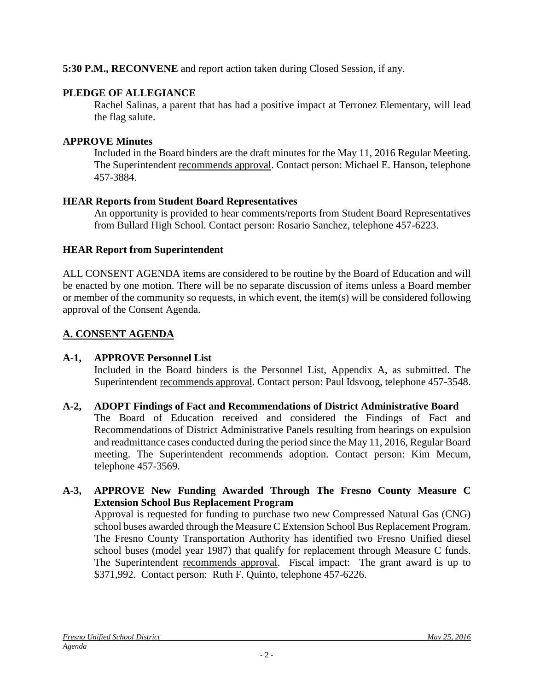# **5:30 P.M., RECONVENE** and report action taken during Closed Session, if any.

# **PLEDGE OF ALLEGIANCE**

Rachel Salinas, a parent that has had a positive impact at Terronez Elementary, will lead the flag salute.

# **APPROVE Minutes**

Included in the Board binders are the draft minutes for the May 11, 2016 Regular Meeting. The Superintendent recommends approval. Contact person: Michael E. Hanson, telephone 457-3884.

# **HEAR Reports from Student Board Representatives**

An opportunity is provided to hear comments/reports from Student Board Representatives from Bullard High School. Contact person: Rosario Sanchez, telephone 457-6223.

# **HEAR Report from Superintendent**

ALL CONSENT AGENDA items are considered to be routine by the Board of Education and will be enacted by one motion. There will be no separate discussion of items unless a Board member or member of the community so requests, in which event, the item(s) will be considered following approval of the Consent Agenda.

# **A. CONSENT AGENDA**

# **A-1, APPROVE Personnel List**

Included in the Board binders is the Personnel List, Appendix A, as submitted. The Superintendent recommends approval. Contact person: Paul Idsvoog, telephone 457-3548.

#### **A-2, ADOPT Findings of Fact and Recommendations of District Administrative Board** The Board of Education received and considered the Findings of Fact and Recommendations of District Administrative Panels resulting from hearings on expulsion and readmittance cases conducted during the period since the May 11, 2016, Regular Board meeting. The Superintendent recommends adoption. Contact person: Kim Mecum, telephone 457-3569.

# **A-3, APPROVE New Funding Awarded Through The Fresno County Measure C Extension School Bus Replacement Program**

Approval is requested for funding to purchase two new Compressed Natural Gas (CNG) school buses awarded through the Measure C Extension School Bus Replacement Program. The Fresno County Transportation Authority has identified two Fresno Unified diesel school buses (model year 1987) that qualify for replacement through Measure C funds. The Superintendent recommends approval. Fiscal impact: The grant award is up to \$371,992. Contact person: Ruth F. Quinto, telephone 457-6226.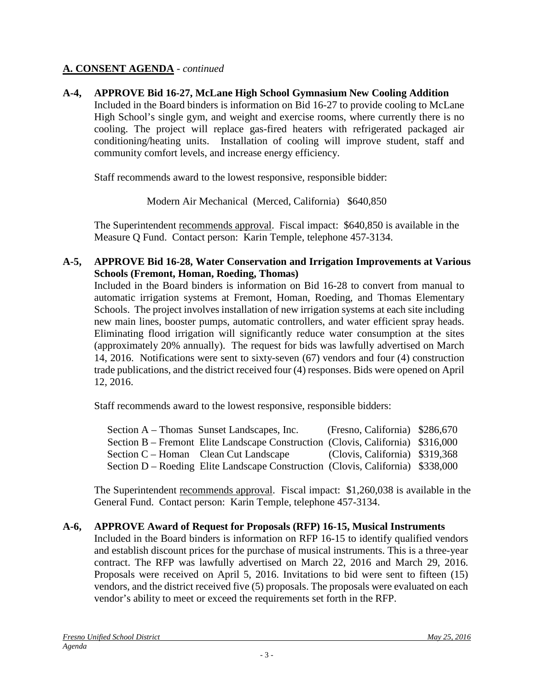# **A. CONSENT AGENDA** - *continued*

**A-4, APPROVE Bid 16-27, McLane High School Gymnasium New Cooling Addition** Included in the Board binders is information on Bid 16-27 to provide cooling to McLane High School's single gym, and weight and exercise rooms, where currently there is no cooling. The project will replace gas-fired heaters with refrigerated packaged air conditioning/heating units. Installation of cooling will improve student, staff and community comfort levels, and increase energy efficiency.

Staff recommends award to the lowest responsive, responsible bidder:

Modern Air Mechanical (Merced, California) \$640,850

The Superintendent recommends approval. Fiscal impact: \$640,850 is available in the Measure Q Fund. Contact person: Karin Temple, telephone 457-3134.

**A-5, APPROVE Bid 16-28, Water Conservation and Irrigation Improvements at Various Schools (Fremont, Homan, Roeding, Thomas)**

Included in the Board binders is information on Bid 16-28 to convert from manual to automatic irrigation systems at Fremont, Homan, Roeding, and Thomas Elementary Schools. The project involves installation of new irrigation systems at each site including new main lines, booster pumps, automatic controllers, and water efficient spray heads. Eliminating flood irrigation will significantly reduce water consumption at the sites (approximately 20% annually). The request for bids was lawfully advertised on March 14, 2016. Notifications were sent to sixty-seven (67) vendors and four (4) construction trade publications, and the district received four (4) responses. Bids were opened on April 12, 2016.

Staff recommends award to the lowest responsive, responsible bidders:

| Section A – Thomas Sunset Landscapes, Inc.                                      | (Fresno, California) \$286,670 |  |
|---------------------------------------------------------------------------------|--------------------------------|--|
| Section B – Fremont Elite Landscape Construction (Clovis, California) \$316,000 |                                |  |
| Section C – Homan Clean Cut Landscape                                           | (Clovis, California) \$319,368 |  |
| Section D – Roeding Elite Landscape Construction (Clovis, California) \$338,000 |                                |  |

The Superintendent recommends approval. Fiscal impact: \$1,260,038 is available in the General Fund. Contact person: Karin Temple, telephone 457-3134.

#### **A-6, APPROVE Award of Request for Proposals (RFP) 16-15, Musical Instruments**

Included in the Board binders is information on RFP 16-15 to identify qualified vendors and establish discount prices for the purchase of musical instruments. This is a three-year contract. The RFP was lawfully advertised on March 22, 2016 and March 29, 2016. Proposals were received on April 5, 2016. Invitations to bid were sent to fifteen (15) vendors, and the district received five (5) proposals. The proposals were evaluated on each vendor's ability to meet or exceed the requirements set forth in the RFP.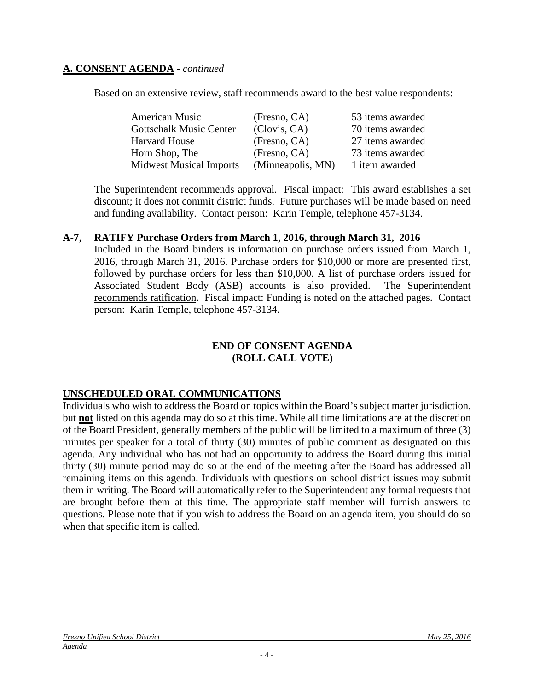#### **A. CONSENT AGENDA** - *continued*

Based on an extensive review, staff recommends award to the best value respondents:

| <b>American Music</b>          | (Fresno, CA)      | 53 items awarded |
|--------------------------------|-------------------|------------------|
| <b>Gottschalk Music Center</b> | (Clovis, CA)      | 70 items awarded |
| <b>Harvard House</b>           | (Fresno, CA)      | 27 items awarded |
| Horn Shop, The                 | (Fresno, CA)      | 73 items awarded |
| <b>Midwest Musical Imports</b> | (Minneapolis, MN) | 1 item awarded   |

The Superintendent recommends approval. Fiscal impact: This award establishes a set discount; it does not commit district funds. Future purchases will be made based on need and funding availability. Contact person: Karin Temple, telephone 457-3134.

#### **A-7, RATIFY Purchase Orders from March 1, 2016, through March 31, 2016**

Included in the Board binders is information on purchase orders issued from March 1, 2016, through March 31, 2016. Purchase orders for \$10,000 or more are presented first, followed by purchase orders for less than \$10,000. A list of purchase orders issued for Associated Student Body (ASB) accounts is also provided. The Superintendent recommends ratification. Fiscal impact: Funding is noted on the attached pages. Contact person: Karin Temple, telephone 457-3134.

#### **END OF CONSENT AGENDA (ROLL CALL VOTE)**

# **UNSCHEDULED ORAL COMMUNICATIONS**

Individuals who wish to address the Board on topics within the Board's subject matter jurisdiction, but **not** listed on this agenda may do so at this time. While all time limitations are at the discretion of the Board President, generally members of the public will be limited to a maximum of three (3) minutes per speaker for a total of thirty (30) minutes of public comment as designated on this agenda. Any individual who has not had an opportunity to address the Board during this initial thirty (30) minute period may do so at the end of the meeting after the Board has addressed all remaining items on this agenda. Individuals with questions on school district issues may submit them in writing. The Board will automatically refer to the Superintendent any formal requests that are brought before them at this time. The appropriate staff member will furnish answers to questions. Please note that if you wish to address the Board on an agenda item, you should do so when that specific item is called.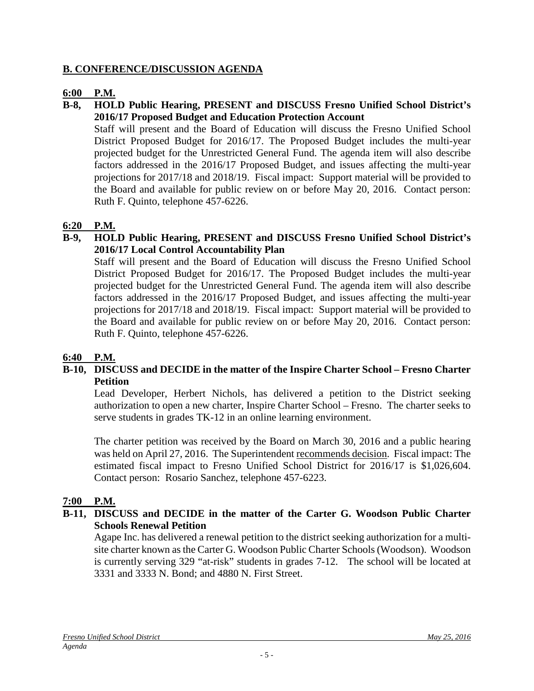# **B. CONFERENCE/DISCUSSION AGENDA**

## **6:00 P.M.**

#### **B-8, HOLD Public Hearing, PRESENT and DISCUSS Fresno Unified School District's 2016/17 Proposed Budget and Education Protection Account**

Staff will present and the Board of Education will discuss the Fresno Unified School District Proposed Budget for 2016/17. The Proposed Budget includes the multi-year projected budget for the Unrestricted General Fund. The agenda item will also describe factors addressed in the 2016/17 Proposed Budget, and issues affecting the multi-year projections for 2017/18 and 2018/19. Fiscal impact: Support material will be provided to the Board and available for public review on or before May 20, 2016. Contact person: Ruth F. Quinto, telephone 457-6226.

# **6:20 P.M.**

#### **B-9, HOLD Public Hearing, PRESENT and DISCUSS Fresno Unified School District's 2016/17 Local Control Accountability Plan**

Staff will present and the Board of Education will discuss the Fresno Unified School District Proposed Budget for 2016/17. The Proposed Budget includes the multi-year projected budget for the Unrestricted General Fund. The agenda item will also describe factors addressed in the 2016/17 Proposed Budget, and issues affecting the multi-year projections for 2017/18 and 2018/19. Fiscal impact: Support material will be provided to the Board and available for public review on or before May 20, 2016. Contact person: Ruth F. Quinto, telephone 457-6226.

#### **6:40 P.M.**

#### **B-10, DISCUSS and DECIDE in the matter of the Inspire Charter School – Fresno Charter Petition**

Lead Developer, Herbert Nichols, has delivered a petition to the District seeking authorization to open a new charter, Inspire Charter School – Fresno. The charter seeks to serve students in grades TK-12 in an online learning environment.

The charter petition was received by the Board on March 30, 2016 and a public hearing was held on April 27, 2016. The Superintendent recommends decision. Fiscal impact: The estimated fiscal impact to Fresno Unified School District for 2016/17 is \$1,026,604. Contact person: Rosario Sanchez, telephone 457-6223.

#### **7:00 P.M.**

#### **B-11, DISCUSS and DECIDE in the matter of the Carter G. Woodson Public Charter Schools Renewal Petition**

Agape Inc. has delivered a renewal petition to the district seeking authorization for a multisite charter known as the Carter G. Woodson Public Charter Schools (Woodson). Woodson is currently serving 329 "at-risk" students in grades 7-12. The school will be located at 3331 and 3333 N. Bond; and 4880 N. First Street.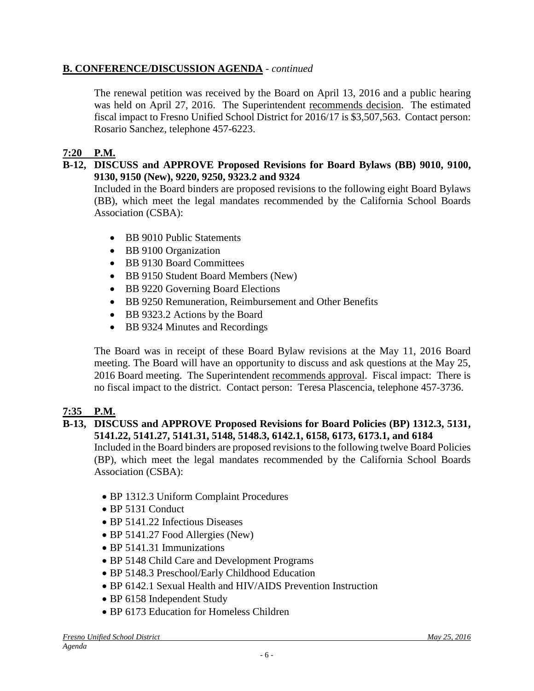# **B. CONFERENCE/DISCUSSION AGENDA** - *continued*

The renewal petition was received by the Board on April 13, 2016 and a public hearing was held on April 27, 2016. The Superintendent recommends decision. The estimated fiscal impact to Fresno Unified School District for 2016/17 is \$3,507,563. Contact person: Rosario Sanchez, telephone 457-6223.

#### **7:20 P.M.**

#### **B-12, DISCUSS and APPROVE Proposed Revisions for Board Bylaws (BB) 9010, 9100, 9130, 9150 (New), 9220, 9250, 9323.2 and 9324**

Included in the Board binders are proposed revisions to the following eight Board Bylaws (BB), which meet the legal mandates recommended by the California School Boards Association (CSBA):

- BB 9010 Public Statements
- BB 9100 Organization
- BB 9130 Board Committees
- BB 9150 Student Board Members (New)
- BB 9220 Governing Board Elections
- BB 9250 Remuneration, Reimbursement and Other Benefits
- BB 9323.2 Actions by the Board
- BB 9324 Minutes and Recordings

The Board was in receipt of these Board Bylaw revisions at the May 11, 2016 Board meeting. The Board will have an opportunity to discuss and ask questions at the May 25, 2016 Board meeting. The Superintendent recommends approval. Fiscal impact: There is no fiscal impact to the district. Contact person: Teresa Plascencia, telephone 457-3736.

#### **7:35 P.M.**

#### **B-13, DISCUSS and APPROVE Proposed Revisions for Board Policies (BP) 1312.3, 5131, 5141.22, 5141.27, 5141.31, 5148, 5148.3, 6142.1, 6158, 6173, 6173.1, and 6184**

Included in the Board binders are proposed revisions to the following twelve Board Policies (BP), which meet the legal mandates recommended by the California School Boards Association (CSBA):

- BP 1312.3 Uniform Complaint Procedures
- BP 5131 Conduct
- BP 5141.22 Infectious Diseases
- BP 5141.27 Food Allergies (New)
- BP 5141.31 Immunizations
- BP 5148 Child Care and Development Programs
- BP 5148.3 Preschool/Early Childhood Education
- BP 6142.1 Sexual Health and HIV/AIDS Prevention Instruction
- BP 6158 Independent Study
- BP 6173 Education for Homeless Children